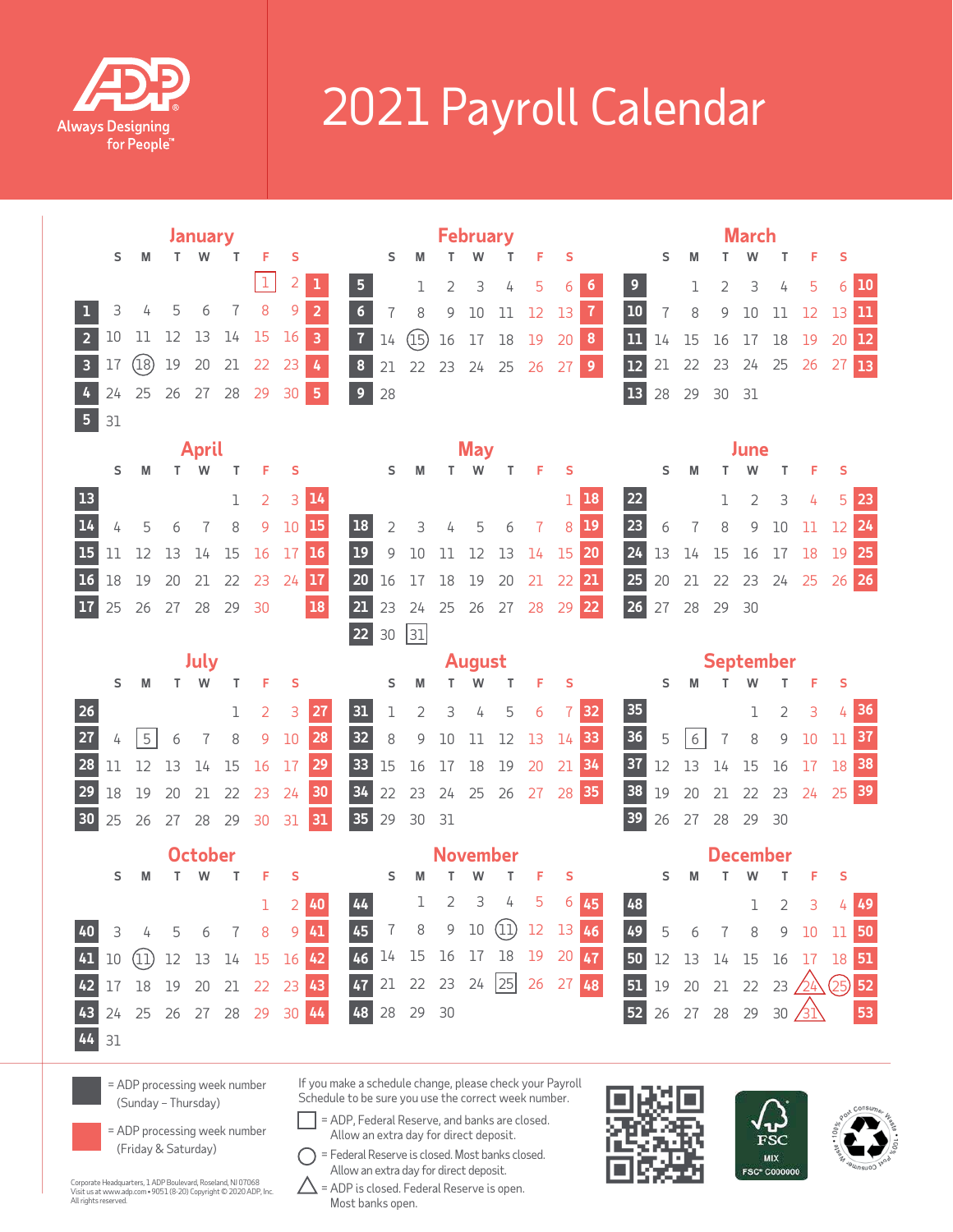

## 2021 Payroll Calendar

|                         | January |      |    |                |    |                            |    | <b>February</b>     |                                                                                                     |    |                |                 |                    |          |          |       | <b>March</b> |                                    |    |                |                        |                 |                |                                      |       |               |
|-------------------------|---------|------|----|----------------|----|----------------------------|----|---------------------|-----------------------------------------------------------------------------------------------------|----|----------------|-----------------|--------------------|----------|----------|-------|--------------|------------------------------------|----|----------------|------------------------|-----------------|----------------|--------------------------------------|-------|---------------|
|                         | S       | М    | T. | W              | т  | F                          | S  |                     |                                                                                                     | S  |                |                 | W                  |          | F        | s     |              |                                    | S  | M              |                        | w               |                | F                                    | S     |               |
|                         |         |      |    |                |    | 1                          | 2  |                     | 5                                                                                                   |    | 1              | $\overline{2}$  | 3                  | 4        | 5        | 6     | 6            | 9                                  |    | 1              | $\overline{2}$         | 3               | 4              | 5                                    | 6     | 10            |
|                         | 3       | 4    | 5  | 6              |    | 8                          | 9  | $\overline{2}$      | $\boldsymbol{6}$                                                                                    | 7  | 8              | 9               | 10                 | 11       | 12       | 13    | $\mathbf{7}$ | 10                                 | 7  | 8              | 9                      | 10              | 11             | 12                                   | 13    | $\mathbf{11}$ |
| $\overline{2}$          | 10      | 11   | 12 | 13             | 14 | 15                         | 16 | $\overline{3}$      | $\overline{1}$                                                                                      | 14 | (15)           | 16              | 17                 | $18\,$   | 19       | 20    | $\pmb{8}$    | 11                                 | 14 | 15             | 16                     | 17              | 18             | 19                                   | 20    | 12            |
| $\overline{\mathbf{3}}$ | 17      | (18) | 19 | 20             | 21 | 22                         | 23 | $\pmb{I}_{\pmb{i}}$ | $\bf{8}$                                                                                            | 21 | 22             | 23              | 24 25              |          | 26       | 27    | 9            | 12                                 | 21 | 22             | 23                     | 24              | 25             | 26                                   | 27    | 13            |
| 4                       | 24      | 25   | 26 | 27             | 28 | 29                         | 30 | 5                   | $\overline{9}$                                                                                      | 28 |                |                 |                    |          |          |       |              | <b>13</b>                          | 28 | 29             | 30                     | 31              |                |                                      |       |               |
| 5 <sup>1</sup>          | 31      |      |    |                |    |                            |    |                     |                                                                                                     |    |                |                 |                    |          |          |       |              |                                    |    |                |                        |                 |                |                                      |       |               |
|                         |         |      |    | <b>April</b>   |    |                            |    |                     |                                                                                                     |    |                |                 | <b>May</b>         |          |          |       |              |                                    |    |                |                        | June            |                |                                      |       |               |
|                         | S       | M    |    | T W            | т  | F                          | S  |                     |                                                                                                     | s  | М              |                 |                    | т        | F        | S     |              |                                    | S  | M              |                        |                 | т              | F                                    | S     |               |
| <b>13</b>               |         |      |    |                | ı  | 2                          | 3  | 14                  |                                                                                                     |    |                |                 |                    |          |          | 1     | 18           | 22                                 |    |                | 1                      | 2               | 3              | 4                                    | 5     | 23            |
| 14                      | 4       | 5    | 6  | 7              | 8  | 9                          | 10 | 15                  | <b>18</b>                                                                                           | 2  | 3              | 4               | 5                  | 6        | 7        | 8     | <b>19</b>    | 23                                 | 6  | $\overline{1}$ | 8                      | 9               | 10             | 11                                   | 12    | 24            |
| 15                      | 11      | 12   | 13 | 14             | 15 | 16                         | 17 | $16$                | 19                                                                                                  | 9  | 10             | 11              | 12                 | 13       | 14       | 15    | 20           | 24                                 | 13 | 14             | 15                     | 16              | 17             | 18                                   | 19    | 25            |
| 16                      | 18      | 19   | 20 | 21             | 22 | 23                         | 24 | 17                  | 20                                                                                                  | 16 | 17             | 18              | 19                 | 20       | 21       | 22    | 21           | 25                                 | 20 | 21             | 22                     | 23 24 25        |                |                                      | 26 26 |               |
|                         | 25      | 26   | 27 | 28             | 29 | 30                         |    | 18                  | 21                                                                                                  | 23 | 24             | 25              |                    | 26 27 28 |          | 29 22 |              | 26                                 | 27 | 28             | 29                     | 30              |                |                                      |       |               |
|                         |         |      |    |                |    |                            |    |                     | 22                                                                                                  | 30 | 31             |                 |                    |          |          |       |              |                                    |    |                |                        |                 |                |                                      |       |               |
|                         |         |      |    | July           |    |                            | S  |                     |                                                                                                     | s  | M              | T.              | <b>August</b><br>W | Т        | F        | S     |              |                                    | S  | M              | <b>September</b><br>T. |                 | T.             | F                                    | S     |               |
|                         |         |      |    |                |    |                            |    |                     |                                                                                                     |    |                |                 |                    |          |          |       |              |                                    |    |                |                        |                 |                |                                      |       |               |
|                         | S       | М    |    | T W            | T  | F                          |    |                     |                                                                                                     |    |                |                 |                    |          |          |       |              |                                    |    |                |                        | W               |                |                                      |       |               |
| 26                      |         |      |    |                | ı  | 2                          | 3  | 27                  | 31                                                                                                  | ı  | $\overline{2}$ | 3               | 4                  | 5        | 6        |       | 32           | 35                                 |    |                |                        | 1               | $\overline{2}$ | 3                                    | 4     | 36            |
| 27                      | 4       | 5    | 6  |                | 8  | 9                          | 10 | 28                  | 32                                                                                                  | 8  | 9              | 10              | 11                 | 12       | 13       | 14    | 33           | 36                                 | 5  | 6              | 7                      | 8               | 9              | 10                                   | 11    | 37            |
| 28                      | 11      | 12   | 13 | 14             | 15 | 16                         | 17 | 29                  | 33                                                                                                  | 15 | 16             | 17              | 18                 | 19       | 20       | 21    | 34           | 37                                 | 12 | 13             | 14                     | 15              | 16             | 17                                   | 18    | 38            |
| 29                      | 18      | 19   | 20 | 21             | 22 | 23                         | 24 | 30                  | 34                                                                                                  | 22 | 23             | 24              | 25                 | 26       | 27 28 35 |       |              | 38                                 | 19 | 20             |                        | 21 22           | 23             | 24                                   | 25 39 |               |
| 30 <sub>2</sub>         | 25      | 26   |    | 27 28 29       |    | 30                         | 31 | 31                  | 35                                                                                                  | 29 | 30             | 31              |                    |          |          |       |              | 39                                 | 26 | 27             |                        | 28 29 30        |                |                                      |       |               |
|                         |         |      |    | <b>October</b> |    |                            |    |                     |                                                                                                     |    |                | <b>November</b> |                    |          |          |       |              |                                    |    |                |                        | <b>December</b> |                |                                      |       |               |
|                         | S       | М    | T. | W              | т  | F                          | s  |                     |                                                                                                     | S  | м              |                 |                    | т        | F        | s     |              |                                    | s  | M              |                        | w               | т              | F                                    | S     |               |
|                         |         |      |    |                |    | 1                          |    | 40                  | $44\,$                                                                                              |    | 1              | 2               | 3                  | 4        | 5        | 6     | 45           | 48                                 |    |                |                        | 1               | 2              | 3                                    | 4     | 49            |
|                         | 40 3    |      |    |                |    | 4 5 6 7 8 9 41             |    |                     | 45 7 8 9 10 11 12 13 46                                                                             |    |                |                 |                    |          |          |       |              | 49 5 6 7 8 9 10 11 50              |    |                |                        |                 |                |                                      |       |               |
|                         |         |      |    |                |    |                            |    |                     | 41 10 12 13 14 15 16 42 46 <sup>14</sup> <sup>15</sup> 16 17 18 19 20 47 50 12 13 14 15 16 17 18 51 |    |                |                 |                    |          |          |       |              |                                    |    |                |                        |                 |                |                                      |       |               |
|                         |         |      |    |                |    |                            |    |                     | 42 17 18 19 20 21 22 23 43 47 21 22 23 24 25 26 27 48                                               |    |                |                 |                    |          |          |       |              | 51 19 20 21 22 23 $24\sqrt{25}$ 52 |    |                |                        |                 |                |                                      |       |               |
|                         | 44 31   |      |    |                |    | 43 24 25 26 27 28 29 30 44 |    |                     | 48 28 29 30                                                                                         |    |                |                 |                    |          |          |       |              |                                    |    |                |                        |                 |                | 52 26 27 28 29 30 $\overline{31}$ 53 |       |               |

= ADP processing week number (Sunday – Thursday)

= ADP processing week number (Friday & Saturday)

Corporate Headquarters, 1 ADP Boulevard, Roseland, NJ 07068 Visit us at www.adp.com • 9051 (8-20) Copyright © 2020 ADP, Inc. All rights reserved.

Schedule to be sure you use the correct week number. = ADP, Federal Reserve, and banks are closed.

If you make a schedule change, please check your Payroll

Allow an extra day for direct deposit. = Federal Reserve is closed. Most banks closed. Allow an extra day for direct deposit.

 $\triangle$  = ADP is closed. Federal Reserve is open. Most banks open.